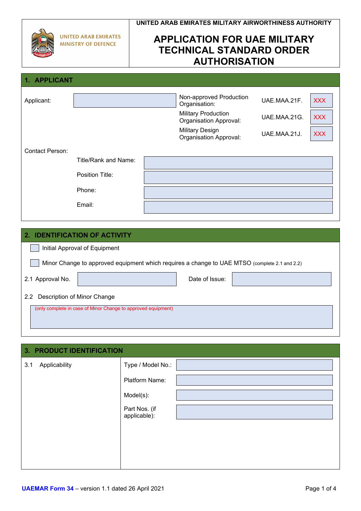|                                                           | UNITED ARAB EMIRATES MILITARY AIRWORTHINESS AUTHORITY                                          |
|-----------------------------------------------------------|------------------------------------------------------------------------------------------------|
| <b>UNITED ARAB EMIRATES</b><br><b>MINISTRY OF DEFENCE</b> | <b>APPLICATION FOR UAE MILITARY</b><br><b>TECHNICAL STANDARD ORDER</b><br><b>AUTHORISATION</b> |
|                                                           |                                                                                                |

| Applicant:             |                      | Non-approved Production<br>Organisation:                    | UAE.MAA.21F. | <b>XXX</b> |
|------------------------|----------------------|-------------------------------------------------------------|--------------|------------|
|                        |                      | <b>Military Production</b><br><b>Organisation Approval:</b> | UAE.MAA.21G. | <b>XXX</b> |
|                        |                      | <b>Military Design</b><br><b>Organisation Approval:</b>     | UAE.MAA.21J. | <b>XXX</b> |
| <b>Contact Person:</b> |                      |                                                             |              |            |
|                        | Title/Rank and Name: |                                                             |              |            |
|                        | Position Title:      |                                                             |              |            |
|                        | Phone:               |                                                             |              |            |
|                        | Email:               |                                                             |              |            |

# **2. IDENTIFICATION OF ACTIVITY**

**1. APPLICANT**

| 2. IDENTIFICATION OF ACTIVITY                                                                 |  |  |  |  |  |  |
|-----------------------------------------------------------------------------------------------|--|--|--|--|--|--|
| Initial Approval of Equipment                                                                 |  |  |  |  |  |  |
| Minor Change to approved equipment which requires a change to UAE MTSO (complete 2.1 and 2.2) |  |  |  |  |  |  |
| Date of Issue:<br>2.1 Approval No.                                                            |  |  |  |  |  |  |
| 2.2 Description of Minor Change                                                               |  |  |  |  |  |  |
| (only complete in case of Minor Change to approved equipment)                                 |  |  |  |  |  |  |

|     | <b>3. PRODUCT IDENTIFICATION</b> |                               |  |  |
|-----|----------------------------------|-------------------------------|--|--|
| 3.1 | Applicability                    | Type / Model No.:             |  |  |
|     |                                  | Platform Name:                |  |  |
|     |                                  | Model(s):                     |  |  |
|     |                                  | Part Nos. (if<br>applicable): |  |  |
|     |                                  |                               |  |  |
|     |                                  |                               |  |  |
|     |                                  |                               |  |  |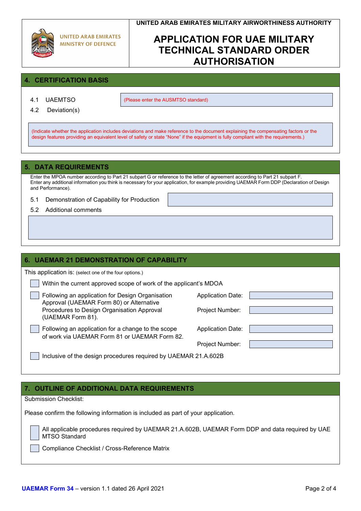# **APPLICATION FOR UAE MILITARY TECHNICAL STANDARD ORDER AUTHORISATION**

# **4. CERTIFICATION BASIS**

4.1 UAEMTSO (Please enter the AUSMTSO standard)

4.2 Deviation(s)

(Indicate whether the application includes deviations and make reference to the document explaining the compensating factors or the design features providing an equivalent level of safety or state "None" if the equipment is fully compliant with the requirements.)

## **5. DATA REQUIREMENTS**

Enter the MPOA number according to Part 21 subpart G or reference to the letter of agreement according to Part 21 subpart F. Enter any additional information you think is necessary for your application, for example providing UAEMAR Form DDP (Declaration of Design and Performance).

- 5.1 Demonstration of Capability for Production
- 5.2 Additional comments

# **6. UAEMAR 21 DEMONSTRATION OF CAPABILITY** This application is: (select one of the four options.) Within the current approved scope of work of the applicant's MDOA Following an application for Design Organisation **Application Date:** Approval (UAEMAR Form 80) or Alternative Procedures to Design Organisation Approval Project Number: (UAEMAR Form 81). Following an application for a change to the scope Application Date: of work via UAEMAR Form 81 or UAEMAR Form 82. Project Number: Inclusive of the design procedures required by UAEMAR 21.A.602B

# **7. OUTLINE OF ADDITIONAL DATA REQUIREMENTS**

Submission Checklist:

Please confirm the following information is included as part of your application.

All applicable procedures required by UAEMAR 21.A.602B, UAEMAR Form DDP and data required by UAE MTSO Standard

Compliance Checklist / Cross-Reference Matrix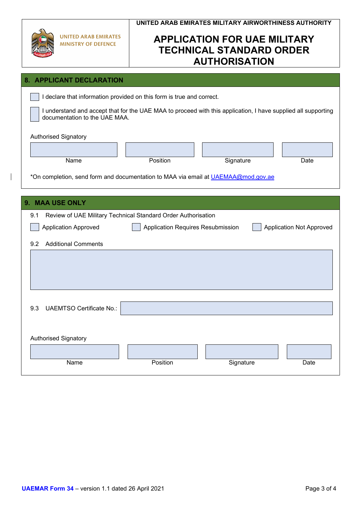| <b>UNITED ARAB EMIRATES</b><br><b>MINISTRY OF DEFENCE</b>                         | UNITED ARAB EMIRATES MILITARY AIRWORTHINESS AUTHORITY<br><b>APPLICATION FOR UAE MILITARY</b><br><b>TECHNICAL STANDARD ORDER</b><br><b>AUTHORISATION</b> |           |                                 |  |  |  |  |
|-----------------------------------------------------------------------------------|---------------------------------------------------------------------------------------------------------------------------------------------------------|-----------|---------------------------------|--|--|--|--|
| 8. APPLICANT DECLARATION                                                          |                                                                                                                                                         |           |                                 |  |  |  |  |
| I declare that information provided on this form is true and correct.             |                                                                                                                                                         |           |                                 |  |  |  |  |
|                                                                                   | I understand and accept that for the UAE MAA to proceed with this application, I have supplied all supporting<br>documentation to the UAE MAA.          |           |                                 |  |  |  |  |
| <b>Authorised Signatory</b>                                                       |                                                                                                                                                         |           |                                 |  |  |  |  |
|                                                                                   |                                                                                                                                                         |           |                                 |  |  |  |  |
| Name                                                                              | Position                                                                                                                                                | Signature | Date                            |  |  |  |  |
| *On completion, send form and documentation to MAA via email at UAEMAA@mod.gov.ae |                                                                                                                                                         |           |                                 |  |  |  |  |
| 9. MAA USE ONLY                                                                   |                                                                                                                                                         |           |                                 |  |  |  |  |
| Review of UAE Military Technical Standard Order Authorisation<br>9.1              |                                                                                                                                                         |           |                                 |  |  |  |  |
| <b>Application Approved</b>                                                       | Application Requires Resubmission                                                                                                                       |           | <b>Application Not Approved</b> |  |  |  |  |
| <b>Additional Comments</b><br>9.2                                                 |                                                                                                                                                         |           |                                 |  |  |  |  |
|                                                                                   |                                                                                                                                                         |           |                                 |  |  |  |  |
| <b>UAEMTSO Certificate No.:</b><br>9.3                                            |                                                                                                                                                         |           |                                 |  |  |  |  |
| <b>Authorised Signatory</b>                                                       |                                                                                                                                                         |           |                                 |  |  |  |  |
|                                                                                   |                                                                                                                                                         |           |                                 |  |  |  |  |
| Name                                                                              | Position                                                                                                                                                | Signature | Date                            |  |  |  |  |

 $\overline{\phantom{a}}$